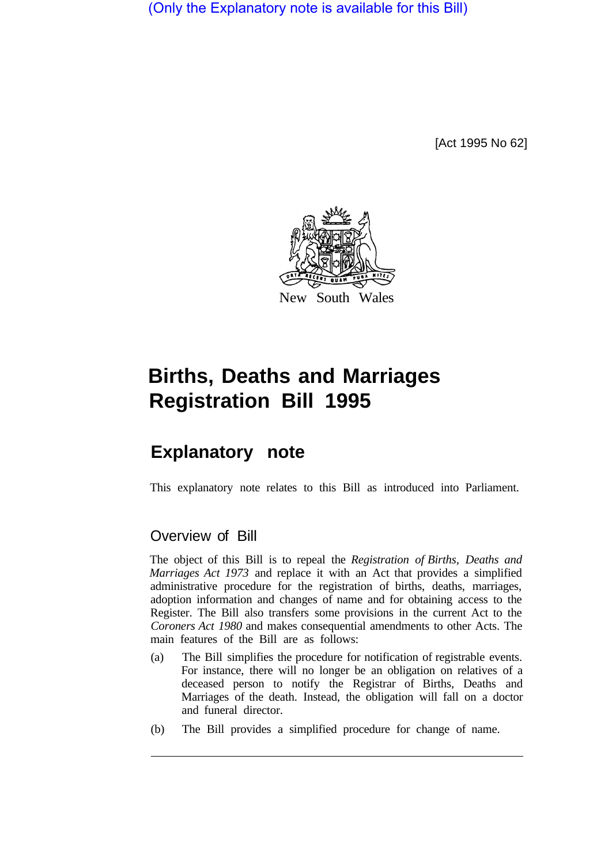(Only the Explanatory note is available for this Bill)

[Act 1995 No 62]



# **Births, Deaths and Marriages Registration Bill 1995**

## **Explanatory note**

This explanatory note relates to this Bill as introduced into Parliament.

## Overview of Bill

The object of this Bill is to repeal the *Registration of Births, Deaths and Marriages Act 1973* and replace it with an Act that provides a simplified administrative procedure for the registration of births, deaths, marriages, adoption information and changes of name and for obtaining access to the Register. The Bill also transfers some provisions in the current Act to the *Coroners Act 1980* and makes consequential amendments to other Acts. The main features of the Bill are as follows:

- (a) The Bill simplifies the procedure for notification of registrable events. For instance, there will no longer be an obligation on relatives of a deceased person to notify the Registrar of Births, Deaths and Marriages of the death. Instead, the obligation will fall on a doctor and funeral director.
- (b) The Bill provides a simplified procedure for change of name.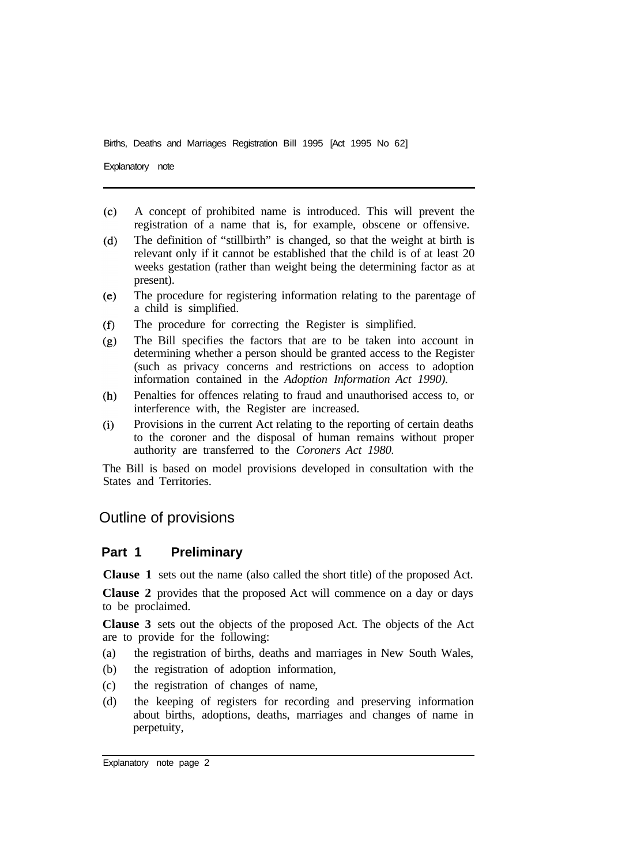Explanatory note

- $(c)$ A concept of prohibited name is introduced. This will prevent the registration of a name that is, for example, obscene or offensive.
- The definition of "stillbirth" is changed, so that the weight at birth is  $(d)$ relevant only if it cannot be established that the child is of at least 20 weeks gestation (rather than weight being the determining factor as at present).
- The procedure for registering information relating to the parentage of  $(e)$ a child is simplified.
- The procedure for correcting the Register is simplified.  $(f)$
- The Bill specifies the factors that are to be taken into account in  $(g)$ determining whether a person should be granted access to the Register (such as privacy concerns and restrictions on access to adoption information contained in the *Adoption Information Act 1990).*
- Penalties for offences relating to fraud and unauthorised access to, or  $(h)$ interference with, the Register are increased.
- Provisions in the current Act relating to the reporting of certain deaths  $(i)$ to the coroner and the disposal of human remains without proper authority are transferred to the *Coroners Act 1980.*

The Bill is based on model provisions developed in consultation with the States and Territories.

## Outline of provisions

#### **Part 1 Preliminary**

**Clause 1** sets out the name (also called the short title) of the proposed Act.

**Clause 2** provides that the proposed Act will commence on a day or days to be proclaimed.

**Clause 3** sets out the objects of the proposed Act. The objects of the Act are to provide for the following:

- (a) the registration of births, deaths and marriages in New South Wales,
- (b) the registration of adoption information,
- (c) the registration of changes of name,
- (d) the keeping of registers for recording and preserving information about births, adoptions, deaths, marriages and changes of name in perpetuity,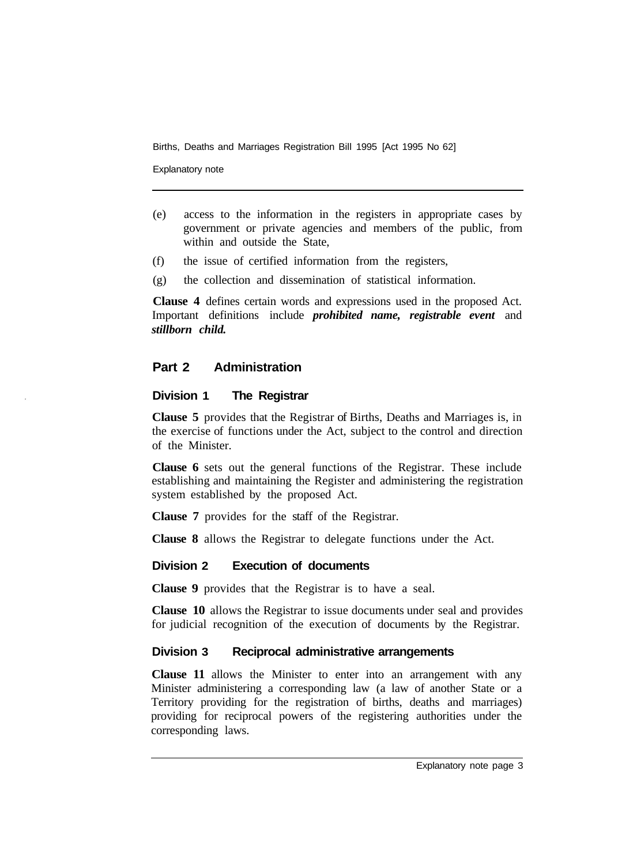Explanatory note

- (e) access to the information in the registers in appropriate cases by government or private agencies and members of the public, from within and outside the State,
- (f) the issue of certified information from the registers,
- (g) the collection and dissemination of statistical information.

**Clause 4** defines certain words and expressions used in the proposed Act. Important definitions include *prohibited name, registrable event* and *stillborn child.* 

#### **Part 2 Administration**

#### **Division 1 The Registrar**

**Clause 5** provides that the Registrar of Births, Deaths and Marriages is, in the exercise of functions under the Act, subject to the control and direction of the Minister.

**Clause 6** sets out the general functions of the Registrar. These include establishing and maintaining the Register and administering the registration system established by the proposed Act.

**Clause 7** provides for the staff of the Registrar.

**Clause 8** allows the Registrar to delegate functions under the Act.

#### **Division 2 Execution of documents**

**Clause 9** provides that the Registrar is to have a seal.

**Clause 10** allows the Registrar to issue documents under seal and provides for judicial recognition of the execution of documents by the Registrar.

#### **Division 3 Reciprocal administrative arrangements**

**Clause 11** allows the Minister to enter into an arrangement with any Minister administering a corresponding law (a law of another State or a Territory providing for the registration of births, deaths and marriages) providing for reciprocal powers of the registering authorities under the corresponding laws.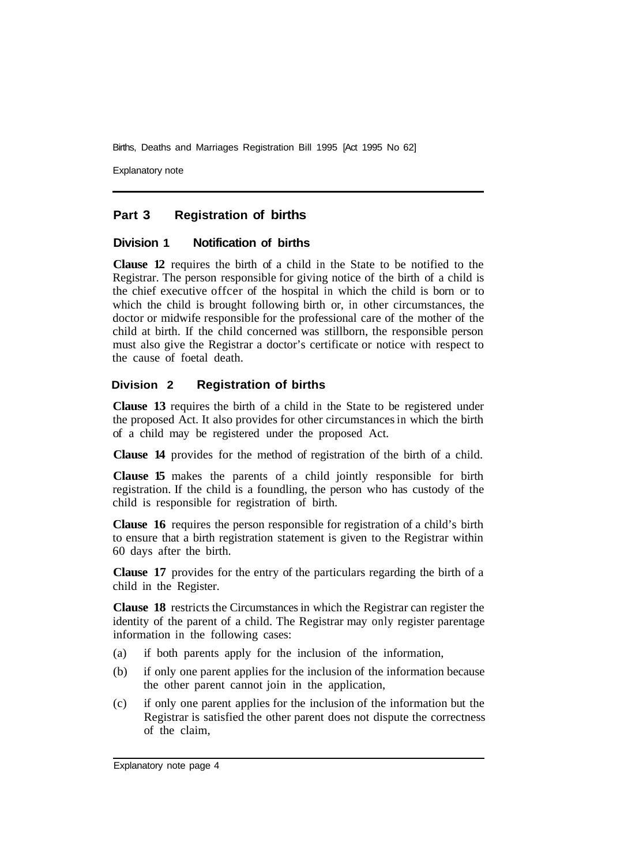Explanatory note

#### **Part 3 Registration of births**

#### **Division 1 Notification of births**

**Clause 12** requires the birth of a child in the State to be notified to the Registrar. The person responsible for giving notice of the birth of a child is the chief executive offcer of the hospital in which the child is born or to which the child is brought following birth or, in other circumstances, the doctor or midwife responsible for the professional care of the mother of the child at birth. If the child concerned was stillborn, the responsible person must also give the Registrar a doctor's certificate or notice with respect to the cause of foetal death.

#### **Division 2 Registration of births**

**Clause 13** requires the birth of a child in the State to be registered under the proposed Act. It also provides for other circumstances in which the birth of a child may be registered under the proposed Act.

**Clause 14** provides for the method of registration of the birth of a child.

**Clause 15** makes the parents of a child jointly responsible for birth registration. If the child is a foundling, the person who has custody of the child is responsible for registration of birth.

**Clause 16** requires the person responsible for registration of a child's birth to ensure that a birth registration statement is given to the Registrar within 60 days after the birth.

**Clause 17** provides for the entry of the particulars regarding the birth of a child in the Register.

**Clause 18** restricts the Circumstances in which the Registrar can register the identity of the parent of a child. The Registrar may only register parentage information in the following cases:

- (a) if both parents apply for the inclusion of the information,
- (b) if only one parent applies for the inclusion of the information because the other parent cannot join in the application,
- (c) if only one parent applies for the inclusion of the information but the Registrar is satisfied the other parent does not dispute the correctness of the claim,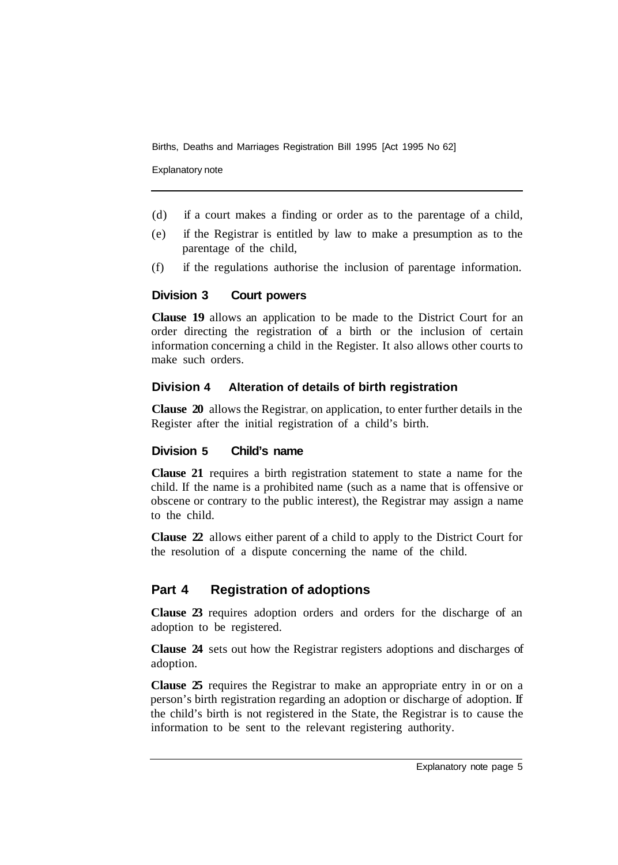Explanatory note

- (d) if a court makes a finding or order as to the parentage of a child,
- (e) if the Registrar is entitled by law to make a presumption as to the parentage of the child,
- (f) if the regulations authorise the inclusion of parentage information.

#### **Division 3 Court powers**

**Clause 19** allows an application to be made to the District Court for an order directing the registration of a birth or the inclusion of certain information concerning a child in the Register. It also allows other courts to make such orders.

#### **Division 4 Alteration of details of birth registration**

**Clause 20** allows the Registrar, on application, to enter further details in the Register after the initial registration of a child's birth.

#### **Division 5 Child's name**

**Clause 21** requires a birth registration statement to state a name for the child. If the name is a prohibited name (such as a name that is offensive or obscene or contrary to the public interest), the Registrar may assign a name to the child.

**Clause 22** allows either parent of a child to apply to the District Court for the resolution of a dispute concerning the name of the child.

## **Part 4 Registration of adoptions**

**Clause 23** requires adoption orders and orders for the discharge of an adoption to be registered.

**Clause 24** sets out how the Registrar registers adoptions and discharges of adoption.

**Clause 25** requires the Registrar to make an appropriate entry in or on a person's birth registration regarding an adoption or discharge of adoption. If the child's birth is not registered in the State, the Registrar is to cause the information to be sent to the relevant registering authority.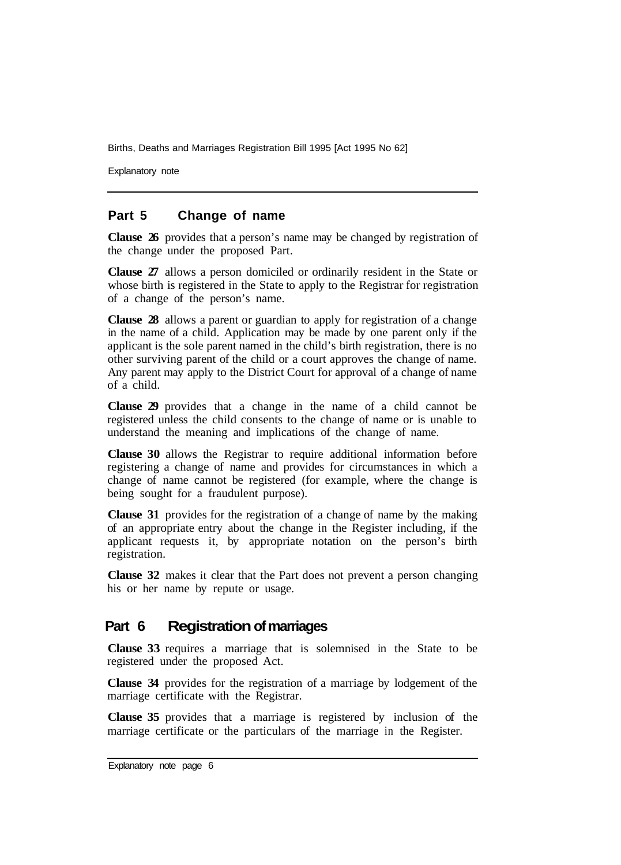Explanatory note

#### **Part 5 Change of name**

**Clause 26** provides that a person's name may be changed by registration of the change under the proposed Part.

**Clause 27** allows a person domiciled or ordinarily resident in the State or whose birth is registered in the State to apply to the Registrar for registration of a change of the person's name.

**Clause 28** allows a parent or guardian to apply for registration of a change in the name of a child. Application may be made by one parent only if the applicant is the sole parent named in the child's birth registration, there is no other surviving parent of the child or a court approves the change of name. Any parent may apply to the District Court for approval of a change of name of a child.

**Clause 29** provides that a change in the name of a child cannot be registered unless the child consents to the change of name or is unable to understand the meaning and implications of the change of name.

**Clause 30** allows the Registrar to require additional information before registering a change of name and provides for circumstances in which a change of name cannot be registered (for example, where the change is being sought for a fraudulent purpose).

**Clause 31** provides for the registration of a change of name by the making of an appropriate entry about the change in the Register including, if the applicant requests it, by appropriate notation on the person's birth registration.

**Clause 32** makes it clear that the Part does not prevent a person changing his or her name by repute or usage.

## **Part 6 Registration of marriages**

**Clause 33** requires a marriage that is solemnised in the State to be registered under the proposed Act.

**Clause 34** provides for the registration of a marriage by lodgement of the marriage certificate with the Registrar.

**Clause 35** provides that a marriage is registered by inclusion of the marriage certificate or the particulars of the marriage in the Register.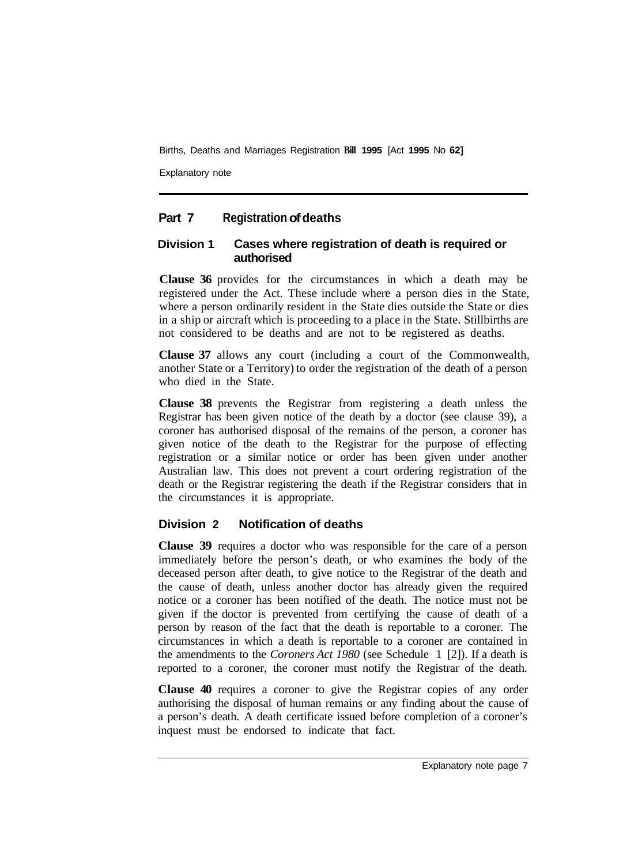Explanatory note

### **Part 7 Registration of deaths**

#### **Division 1 Cases where registration of death is required or authorised**

**Clause 36** provides for the circumstances in which a death may be registered under the Act. These include where a person dies in the State, where a person ordinarily resident in the State dies outside the State or dies in a ship or aircraft which is proceeding to a place in the State. Stillbirths are not considered to be deaths and are not to be registered as deaths.

**Clause 37** allows any court (including a court of the Commonwealth, another State or a Territory) to order the registration of the death of a person who died in the State.

**Clause 38** prevents the Registrar from registering a death unless the Registrar has been given notice of the death by a doctor (see clause 39), a coroner has authorised disposal of the remains of the person, a coroner has given notice of the death to the Registrar for the purpose of effecting registration or a similar notice or order has been given under another Australian law. This does not prevent a court ordering registration of the death or the Registrar registering the death if the Registrar considers that in the circumstances it is appropriate.

#### **Division 2 Notification of deaths**

**Clause 39** requires a doctor who was responsible for the care of a person immediately before the person's death, or who examines the body of the deceased person after death, to give notice to the Registrar of the death and the cause of death, unless another doctor has already given the required notice or a coroner has been notified of the death. The notice must not be given if the doctor is prevented from certifying the cause of death of a person by reason of the fact that the death is reportable to a coroner. The circumstances in which a death is reportable to a coroner are contained in the amendments to the *Coroners Act 1980* (see Schedule 1 [2]). If a death is reported to a coroner, the coroner must notify the Registrar of the death.

**Clause 40** requires a coroner to give the Registrar copies of any order authorising the disposal of human remains or any finding about the cause of a person's death. A death certificate issued before completion of a coroner's inquest must be endorsed to indicate that fact.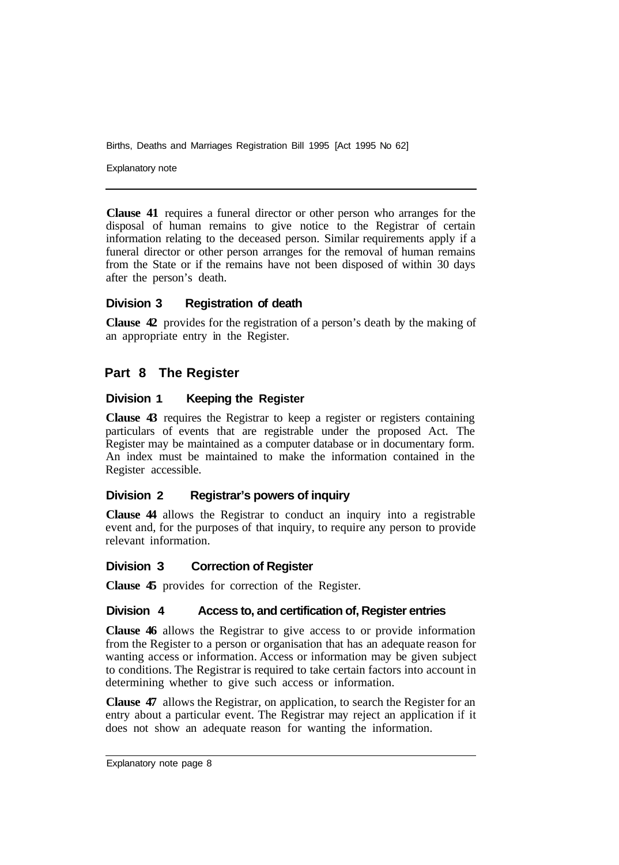Explanatory note

**Clause 41** requires a funeral director or other person who arranges for the disposal of human remains to give notice to the Registrar of certain information relating to the deceased person. Similar requirements apply if a funeral director or other person arranges for the removal of human remains from the State or if the remains have not been disposed of within 30 days after the person's death.

#### **Division 3 Registration of death**

**Clause 42** provides for the registration of a person's death by the making of an appropriate entry in the Register.

#### **Part 8 The Register**

#### **Division 1 Keeping the Register**

**Clause 43** requires the Registrar to keep a register or registers containing particulars of events that are registrable under the proposed Act. The Register may be maintained as a computer database or in documentary form. An index must be maintained to make the information contained in the Register accessible.

#### **Division 2 Registrar's powers of inquiry**

**Clause 44** allows the Registrar to conduct an inquiry into a registrable event and, for the purposes of that inquiry, to require any person to provide relevant information.

#### **Division 3 Correction of Register**

**Clause 45** provides for correction of the Register.

#### **Division 4 Access to, and certification of, Register entries**

**Clause 46** allows the Registrar to give access to or provide information from the Register to a person or organisation that has an adequate reason for wanting access or information. Access or information may be given subject to conditions. The Registrar is required to take certain factors into account in determining whether to give such access or information.

**Clause 47** allows the Registrar, on application, to search the Register for an entry about a particular event. The Registrar may reject an application if it does not show an adequate reason for wanting the information.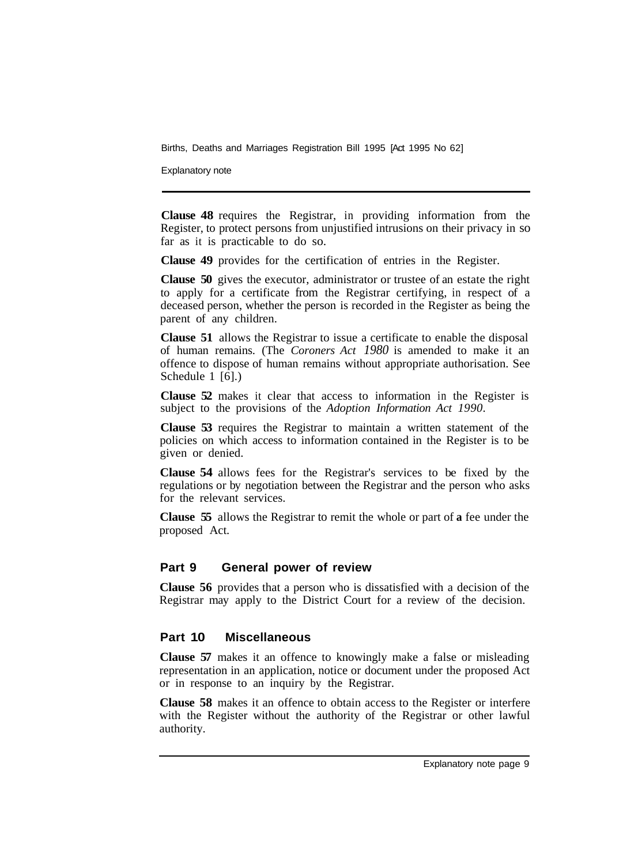Explanatory note

**Clause 48** requires the Registrar, in providing information from the Register, to protect persons from unjustified intrusions on their privacy in so far as it is practicable to do so.

**Clause 49** provides for the certification of entries in the Register.

**Clause 50** gives the executor, administrator or trustee of an estate the right to apply for a certificate from the Registrar certifying, in respect of a deceased person, whether the person is recorded in the Register as being the parent of any children.

**Clause 51** allows the Registrar to issue a certificate to enable the disposal of human remains. (The *Coroners Act 1980* is amended to make it an offence to dispose of human remains without appropriate authorisation. See Schedule 1 [6].)

**Clause 52** makes it clear that access to information in the Register is subject to the provisions of the *Adoption Information Act 1990.* 

**Clause 53** requires the Registrar to maintain a written statement of the policies on which access to information contained in the Register is to be given or denied.

**Clause 54** allows fees for the Registrar's services to be fixed by the regulations or by negotiation between the Registrar and the person who asks for the relevant services.

**Clause 55** allows the Registrar to remit the whole or part of **a** fee under the proposed Act.

#### **Part 9 General power of review**

**Clause 56** provides that a person who is dissatisfied with a decision of the Registrar may apply to the District Court for a review of the decision.

#### **Part 10 Miscellaneous**

**Clause 57** makes it an offence to knowingly make a false or misleading representation in an application, notice or document under the proposed Act or in response to an inquiry by the Registrar.

**Clause 58** makes it an offence to obtain access to the Register or interfere with the Register without the authority of the Registrar or other lawful authority.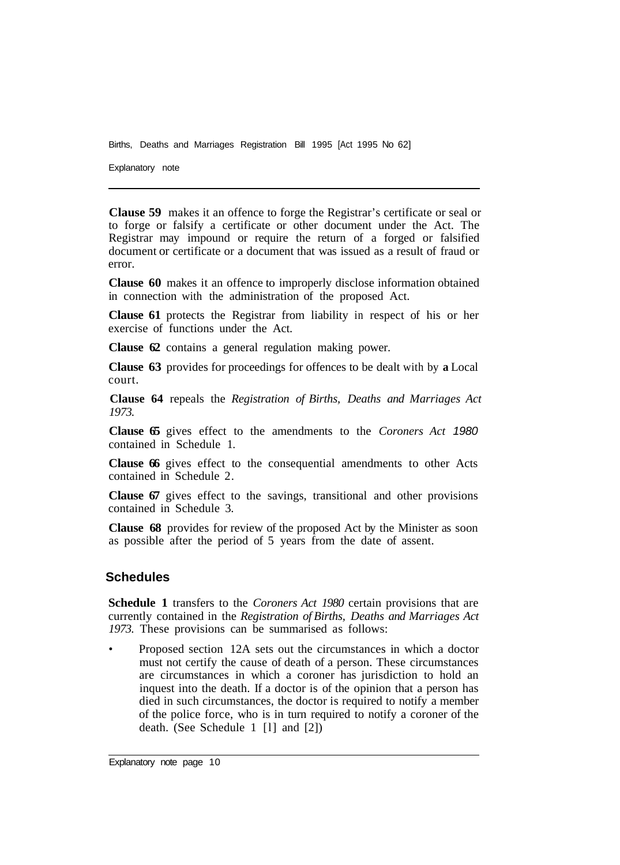Explanatory note

**Clause 59** makes it an offence to forge the Registrar's certificate or seal or to forge or falsify a certificate or other document under the Act. The Registrar may impound or require the return of a forged or falsified document or certificate or a document that was issued as a result of fraud or error.

**Clause 60** makes it an offence to improperly disclose information obtained in connection with the administration of the proposed Act.

**Clause 61** protects the Registrar from liability in respect of his or her exercise of functions under the Act.

**Clause 62** contains a general regulation making power.

**Clause 63** provides for proceedings for offences to be dealt with by **a** Local court.

**Clause 64** repeals the *Registration of Births, Deaths and Marriages Act 1973.* 

**Clause 65** gives effect to the amendments to the *Coroners Act 1980*  contained in Schedule 1.

**Clause 66** gives effect to the consequential amendments to other Acts contained in Schedule 2.

**Clause 67** gives effect to the savings, transitional and other provisions contained in Schedule 3.

**Clause 68** provides for review of the proposed Act by the Minister as soon as possible after the period of 5 years from the date of assent.

#### **Schedules**

**Schedule 1** transfers to the *Coroners Act 1980* certain provisions that are currently contained in the *Registration of Births, Deaths and Marriages Act 1973.* These provisions can be summarised as follows:

• Proposed section 12A sets out the circumstances in which a doctor must not certify the cause of death of a person. These circumstances are circumstances in which a coroner has jurisdiction to hold an inquest into the death. If a doctor is of the opinion that a person has died in such circumstances, the doctor is required to notify a member of the police force, who is in turn required to notify a coroner of the death. (See Schedule 1 [l] and [2])